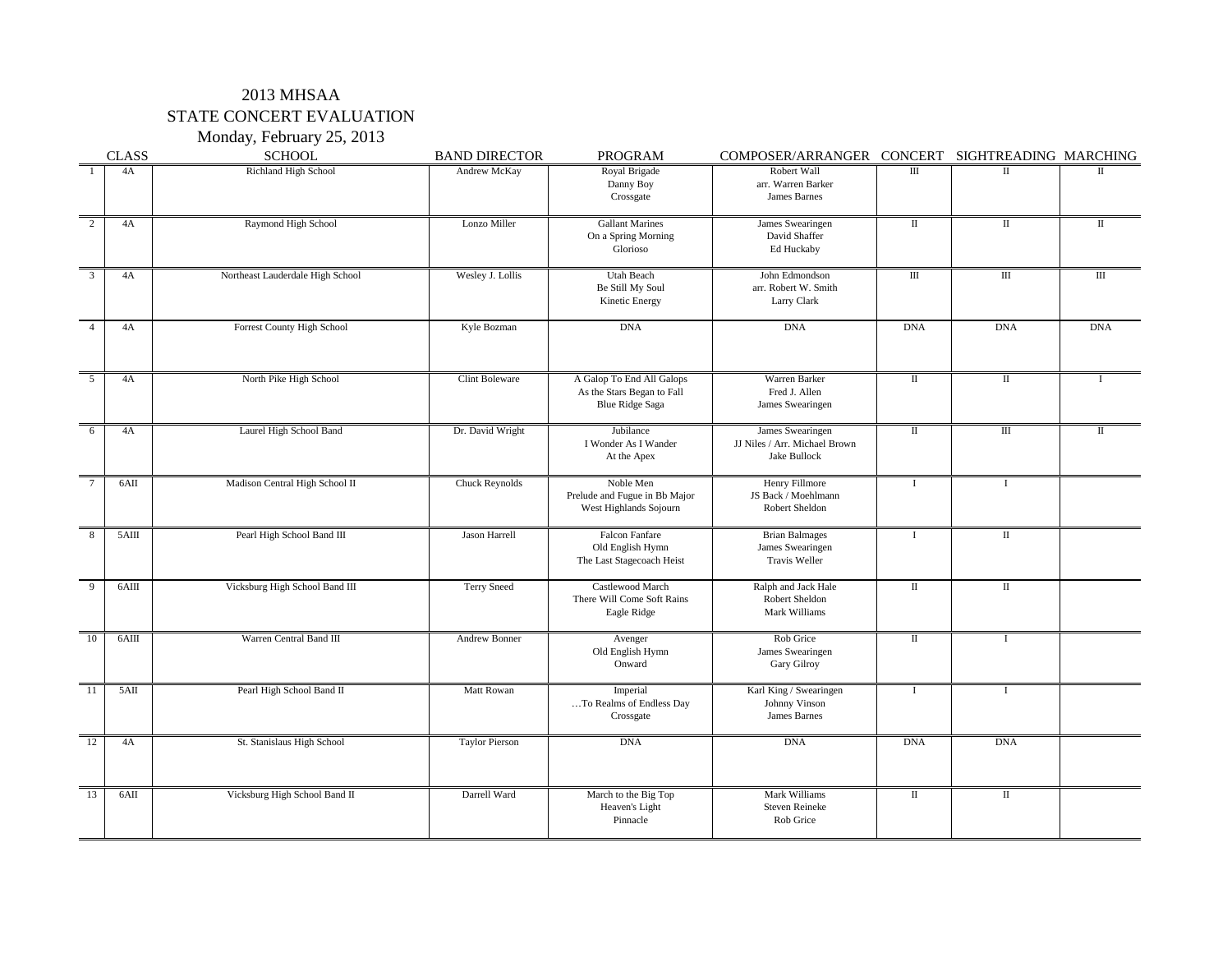# 2013 MHSAA STATE CONCERT EVALUATION

Monday, February 25, 2013

|                | <b>CLASS</b> | <b>SCHOOL</b>                     | <b>BAND DIRECTOR</b>  | <b>PROGRAM</b>                                                                    | COMPOSER/ARRANGER CONCERT SIGHTREADING MARCHING                          |                        |                        |                        |
|----------------|--------------|-----------------------------------|-----------------------|-----------------------------------------------------------------------------------|--------------------------------------------------------------------------|------------------------|------------------------|------------------------|
|                | 4A           | Richland High School              | Andrew McKay          | Royal Brigade<br>Danny Boy<br>Crossgate                                           | Robert Wall<br>arr. Warren Barker<br><b>James Barnes</b>                 | $\mathop{\rm III}$     | $\mathop{\mathrm{II}}$ |                        |
| $\mathcal{D}$  | 4A           | Raymond High School               | Lonzo Miller          | <b>Gallant Marines</b><br>On a Spring Morning<br>Glorioso                         | James Swearingen<br>David Shaffer<br>Ed Huckaby                          | $\mathop{\mathrm{II}}$ | $\mathop{\mathrm{II}}$ | $\mathop{\mathrm{II}}$ |
| $\mathfrak{Z}$ | 4A           | Northeast Lauderdale High School  | Wesley J. Lollis      | <b>Utah Beach</b><br>Be Still My Soul<br>Kinetic Energy                           | John Edmondson<br>arr. Robert W. Smith<br>Larry Clark                    | $\mathop{\rm III}$     | $\mathop{\rm III}$     | Ш                      |
|                | 4A           | <b>Forrest County High School</b> | Kyle Bozman           | <b>DNA</b>                                                                        | <b>DNA</b>                                                               | <b>DNA</b>             | <b>DNA</b>             | <b>DNA</b>             |
| $\overline{5}$ | 4A           | North Pike High School            | <b>Clint Boleware</b> | A Galop To End All Galops<br>As the Stars Began to Fall<br><b>Blue Ridge Saga</b> | Warren Barker<br>Fred J. Allen<br>James Swearingen                       | $\mathbf{I}$           | $\mathbf{I}$           |                        |
| -6             | 4A           | Laurel High School Band           | Dr. David Wright      | Jubilance<br>I Wonder As I Wander<br>At the Apex                                  | James Swearingen<br>JJ Niles / Arr. Michael Brown<br><b>Jake Bullock</b> | $\mathbf{I}$           | Ш                      |                        |
|                | 6AII         | Madison Central High School II    | <b>Chuck Reynolds</b> | Noble Men<br>Prelude and Fugue in Bb Major<br>West Highlands Sojourn              | Henry Fillmore<br>JS Back / Moehlmann<br>Robert Sheldon                  |                        |                        |                        |
|                | 5AIII        | Pearl High School Band III        | Jason Harrell         | <b>Falcon Fanfare</b><br>Old English Hymn<br>The Last Stagecoach Heist            | <b>Brian Balmages</b><br>James Swearingen<br>Travis Weller               |                        | П                      |                        |
| $\Omega$       | 6AIII        | Vicksburg High School Band III    | Terry Sneed           | Castlewood March<br>There Will Come Soft Rains<br>Eagle Ridge                     | Ralph and Jack Hale<br><b>Robert Sheldon</b><br>Mark Williams            | $\mathbf{I}$           | П                      |                        |
| 10             | 6AIII        | Warren Central Band III           | <b>Andrew Bonner</b>  | Avenger<br>Old English Hymn<br>Onward                                             | Rob Grice<br>James Swearingen<br><b>Gary Gilroy</b>                      | $\rm{II}$              |                        |                        |
| -11            | 5AII         | Pearl High School Band II         | Matt Rowan            | Imperial<br>To Realms of Endless Day<br>Crossgate                                 | Karl King / Swearingen<br>Johnny Vinson<br><b>James Barnes</b>           |                        |                        |                        |
| 12             | 4A           | St. Stanislaus High School        | <b>Taylor Pierson</b> | <b>DNA</b>                                                                        | <b>DNA</b>                                                               | <b>DNA</b>             | <b>DNA</b>             |                        |
| 13             | 6AII         | Vicksburg High School Band II     | Darrell Ward          | March to the Big Top<br>Heaven's Light<br>Pinnacle                                | <b>Mark Williams</b><br><b>Steven Reineke</b><br>Rob Grice               | $\rm{II}$              | $\mathop{\mathrm{II}}$ |                        |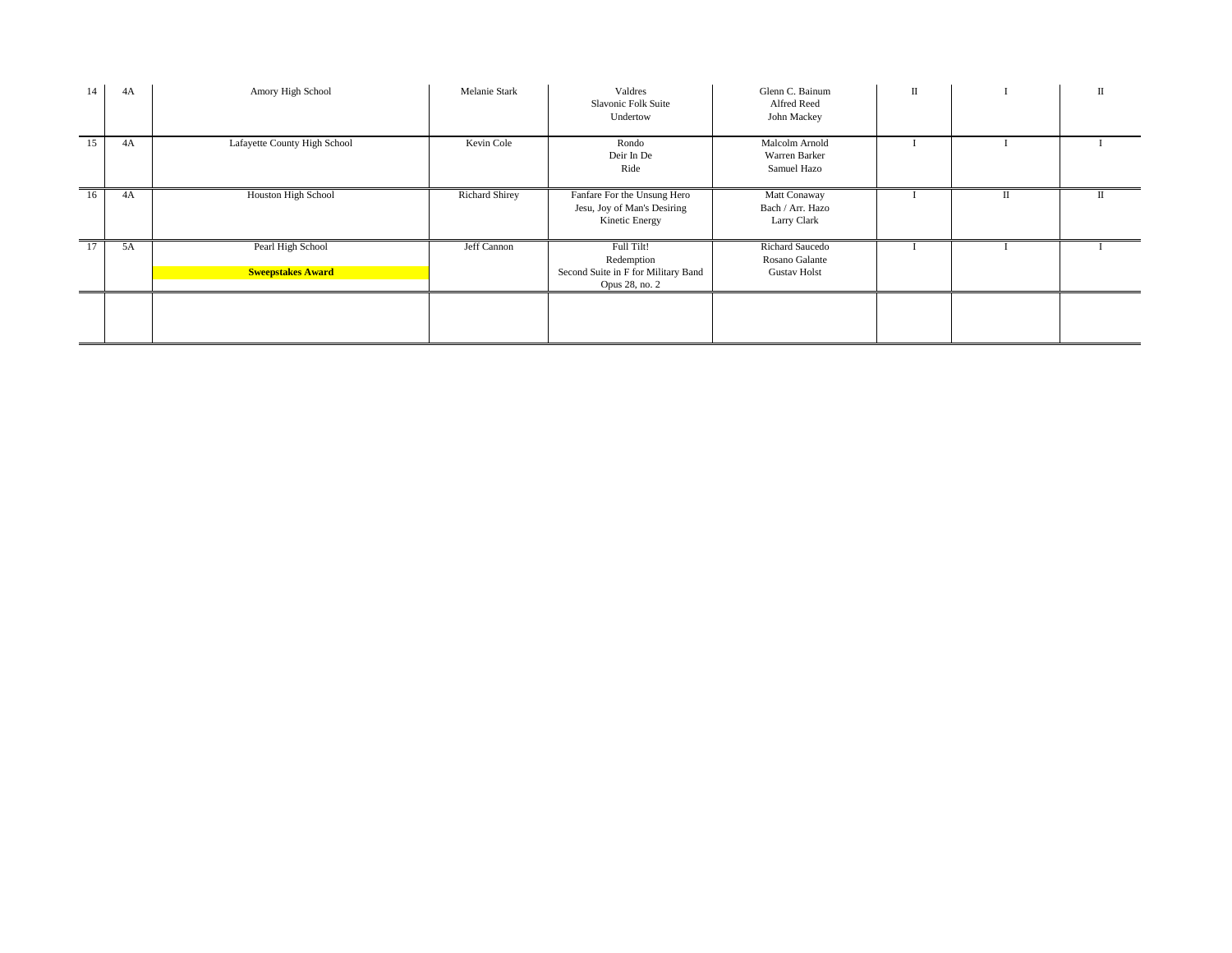| 14 | 4A | Amory High School                             | <b>Melanie Stark</b>  | Valdres<br><b>Slavonic Folk Suite</b><br>Undertow                                 | Glenn C. Bainum<br>Alfred Reed<br><b>John Mackey</b>            | $\rm II$ |          | $\prod$ |
|----|----|-----------------------------------------------|-----------------------|-----------------------------------------------------------------------------------|-----------------------------------------------------------------|----------|----------|---------|
| 15 | 4A | Lafayette County High School                  | Kevin Cole            | Rondo<br>Deir In De<br>Ride                                                       | Malcolm Arnold<br>Warren Barker<br>Samuel Hazo                  |          |          |         |
| 16 | 4A | Houston High School                           | <b>Richard Shirey</b> | Fanfare For the Unsung Hero<br>Jesu, Joy of Man's Desiring<br>Kinetic Energy      | Matt Conaway<br>Bach / Arr. Hazo<br><b>Larry Clark</b>          |          | $\rm II$ |         |
| 17 | 5A | Pearl High School<br><b>Sweepstakes Award</b> | Jeff Cannon           | Full Tilt!<br>Redemption<br>Second Suite in F for Military Band<br>Opus 28, no. 2 | <b>Richard Saucedo</b><br>Rosano Galante<br><b>Gustav Holst</b> |          |          |         |
|    |    |                                               |                       |                                                                                   |                                                                 |          |          |         |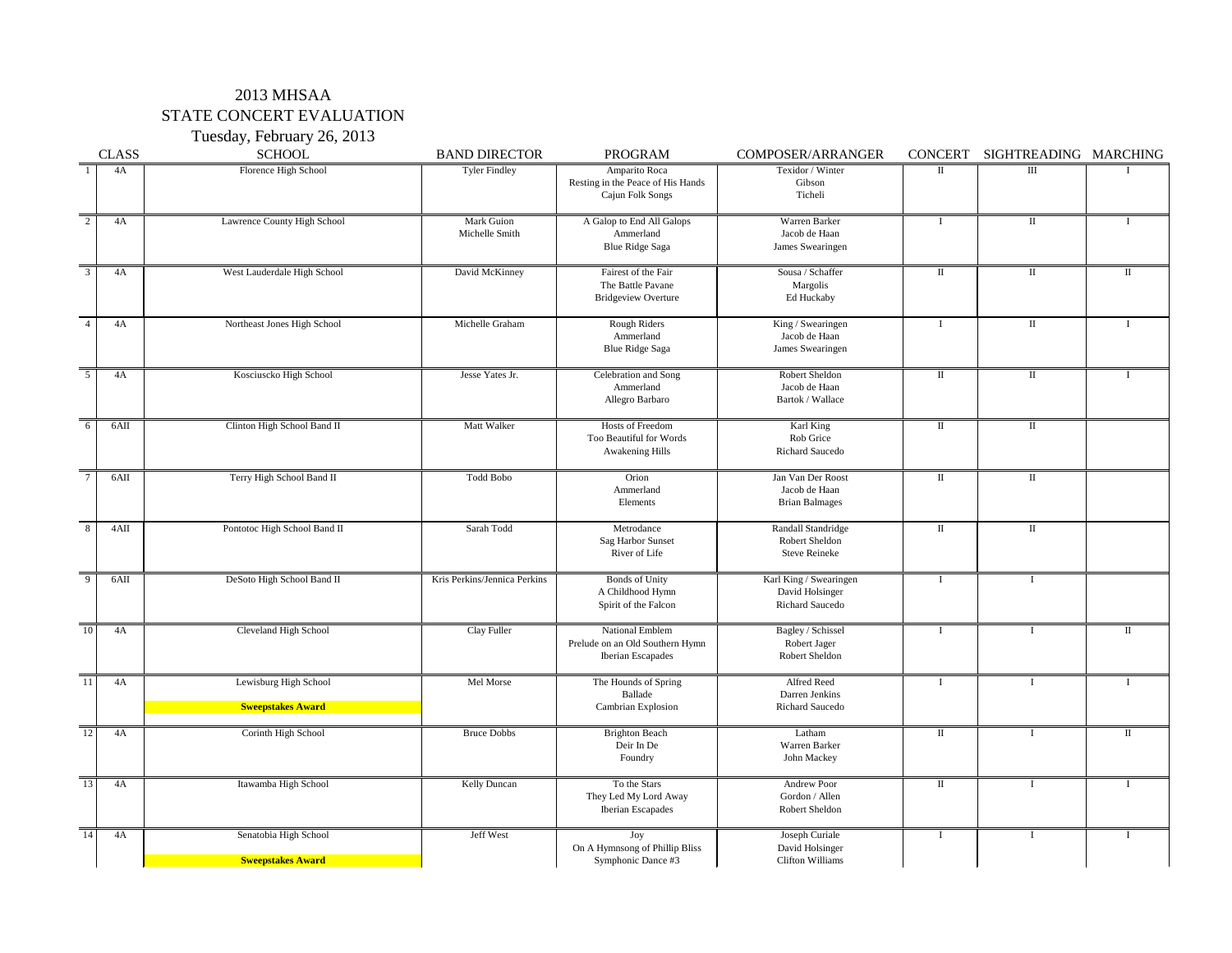## 2013 MHSAA STATE CONCERT EVALUATION

Tuesday, February 26, 2013

|                 | <b>CLASS</b> | <b>SCHOOL</b>                                     | <b>BAND DIRECTOR</b>                | <b>PROGRAM</b>                                                          | <b>COMPOSER/ARRANGER</b>                                            | CONCERT      | SIGHTREADING MARCHING |              |
|-----------------|--------------|---------------------------------------------------|-------------------------------------|-------------------------------------------------------------------------|---------------------------------------------------------------------|--------------|-----------------------|--------------|
|                 | 4A           | Florence High School                              | <b>Tyler Findley</b>                | Amparito Roca<br>Resting in the Peace of His Hands<br>Cajun Folk Songs  | Texidor / Winter<br>Gibson<br>Ticheli                               | $\mathbf{I}$ | Ш                     |              |
| 2               | 4A           | Lawrence County High School                       | <b>Mark Guion</b><br>Michelle Smith | A Galop to End All Galops<br>Ammerland<br><b>Blue Ridge Saga</b>        | Warren Barker<br>Jacob de Haan<br>James Swearingen                  |              | $\mathbf{I}$          |              |
| $\overline{3}$  | 4A           | West Lauderdale High School                       | David McKinney                      | Fairest of the Fair<br>The Battle Pavane<br><b>Bridgeview Overture</b>  | Sousa / Schaffer<br>Margolis<br>Ed Huckaby                          | $\mathbf{I}$ | $\mathbf{I}$          | $\rm II$     |
| $\overline{4}$  | 4A           | Northeast Jones High School                       | Michelle Graham                     | Rough Riders<br>Ammerland<br><b>Blue Ridge Saga</b>                     | King / Swearingen<br>Jacob de Haan<br>James Swearingen              |              | $\mathbf{I}$          |              |
| $\overline{5}$  | 4A           | Kosciuscko High School                            | Jesse Yates Jr.                     | Celebration and Song<br>Ammerland<br>Allegro Barbaro                    | Robert Sheldon<br>Jacob de Haan<br>Bartok / Wallace                 | $\rm II$     | Ш                     |              |
| 6               | 6AII         | Clinton High School Band II                       | Matt Walker                         | Hosts of Freedom<br>Too Beautiful for Words<br><b>Awakening Hills</b>   | Karl King<br>Rob Grice<br><b>Richard Saucedo</b>                    | $\mathbf{I}$ | $\mathbf{I}$          |              |
| $\overline{7}$  | 6AII         | Terry High School Band II                         | Todd Bobo                           | Orion<br>Ammerland<br>Elements                                          | Jan Van Der Roost<br>Jacob de Haan<br><b>Brian Balmages</b>         | $\mathbf{I}$ | $\mathbf{I}$          |              |
| $\sqrt{8}$      | 4AII         | Pontotoc High School Band II                      | Sarah Todd                          | Metrodance<br>Sag Harbor Sunset<br>River of Life                        | Randall Standridge<br>Robert Sheldon<br><b>Steve Reineke</b>        | $\mathbf H$  | П                     |              |
| $\overline{9}$  | 6AII         | DeSoto High School Band II                        | Kris Perkins/Jennica Perkins        | <b>Bonds of Unity</b><br>A Childhood Hymn<br>Spirit of the Falcon       | Karl King / Swearingen<br>David Holsinger<br><b>Richard Saucedo</b> |              |                       |              |
| 10              | 4A           | Cleveland High School                             | Clay Fuller                         | National Emblem<br>Prelude on an Old Southern Hymn<br>Iberian Escapades | Bagley / Schissel<br>Robert Jager<br>Robert Sheldon                 |              |                       |              |
| 11              | 4A           | Lewisburg High School<br><b>Sweepstakes Award</b> | Mel Morse                           | The Hounds of Spring<br><b>Ballade</b><br><b>Cambrian Explosion</b>     | Alfred Reed<br>Darren Jenkins<br><b>Richard Saucedo</b>             |              |                       |              |
| <sup>12</sup>   | 4A           | Corinth High School                               | <b>Bruce Dobbs</b>                  | <b>Brighton Beach</b><br>Deir In De<br>Foundry                          | Latham<br>Warren Barker<br>John Mackey                              | $\mathbf{I}$ |                       | $\mathbf{I}$ |
| $\overline{13}$ | 4A           | Itawamba High School                              | <b>Kelly Duncan</b>                 | To the Stars<br>They Led My Lord Away<br><b>Iberian Escapades</b>       | <b>Andrew Poor</b><br>Gordon / Allen<br>Robert Sheldon              | $\mathbf{I}$ |                       |              |
| 14              | 4A           | Senatobia High School<br><b>Sweepstakes Award</b> | Jeff West                           | Joy<br>On A Hymnsong of Phillip Bliss<br>Symphonic Dance #3             | Joseph Curiale<br>David Holsinger<br><b>Clifton Williams</b>        |              |                       |              |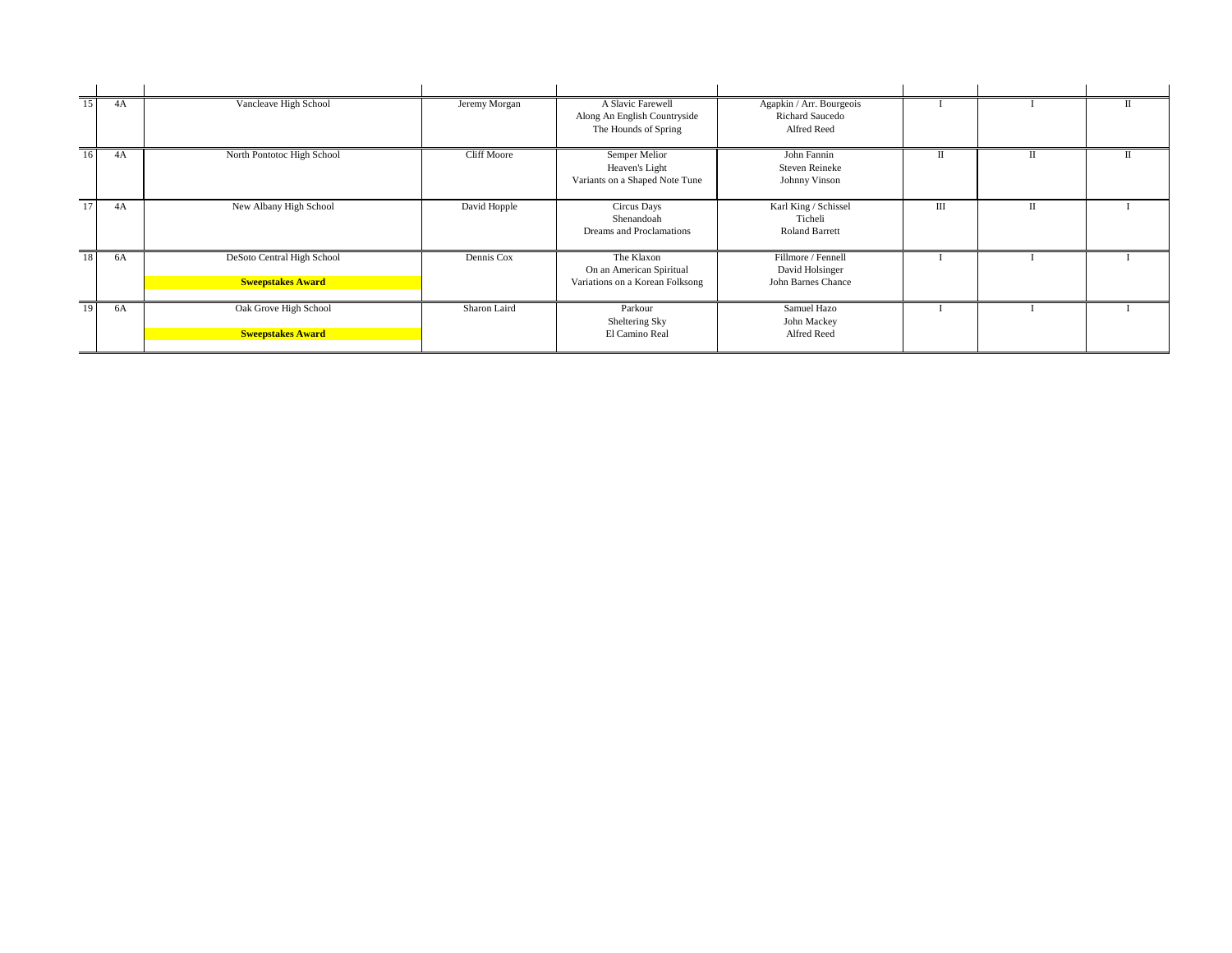| $\overline{15}$ | 4A | Vancleave High School                                  | Jeremy Morgan      | A Slavic Farewell<br>Along An English Countryside<br>The Hounds of Spring | Agapkin / Arr. Bourgeois<br><b>Richard Saucedo</b><br>Alfred Reed  |     |   |  |
|-----------------|----|--------------------------------------------------------|--------------------|---------------------------------------------------------------------------|--------------------------------------------------------------------|-----|---|--|
| 16              | 4A | North Pontotoc High School                             | <b>Cliff Moore</b> | <b>Semper Melior</b><br>Heaven's Light<br>Variants on a Shaped Note Tune  | John Fannin<br><b>Steven Reineke</b><br>Johnny Vinson              | П   | п |  |
| 17 <sup>1</sup> | 4A | New Albany High School                                 | David Hopple       | Circus Days<br>Shenandoah<br>Dreams and Proclamations                     | Karl King / Schissel<br>Ticheli<br><b>Roland Barrett</b>           | III |   |  |
| 18              | 6A | DeSoto Central High School<br><b>Sweepstakes Award</b> | Dennis Cox         | The Klaxon<br>On an American Spiritual<br>Variations on a Korean Folksong | Fillmore / Fennell<br>David Holsinger<br><b>John Barnes Chance</b> |     |   |  |
| 19              | 6A | Oak Grove High School<br><b>Sweepstakes Award</b>      | Sharon Laird       | Parkour<br>Sheltering Sky<br>El Camino Real                               | Samuel Hazo<br>John Mackey<br>Alfred Reed                          |     |   |  |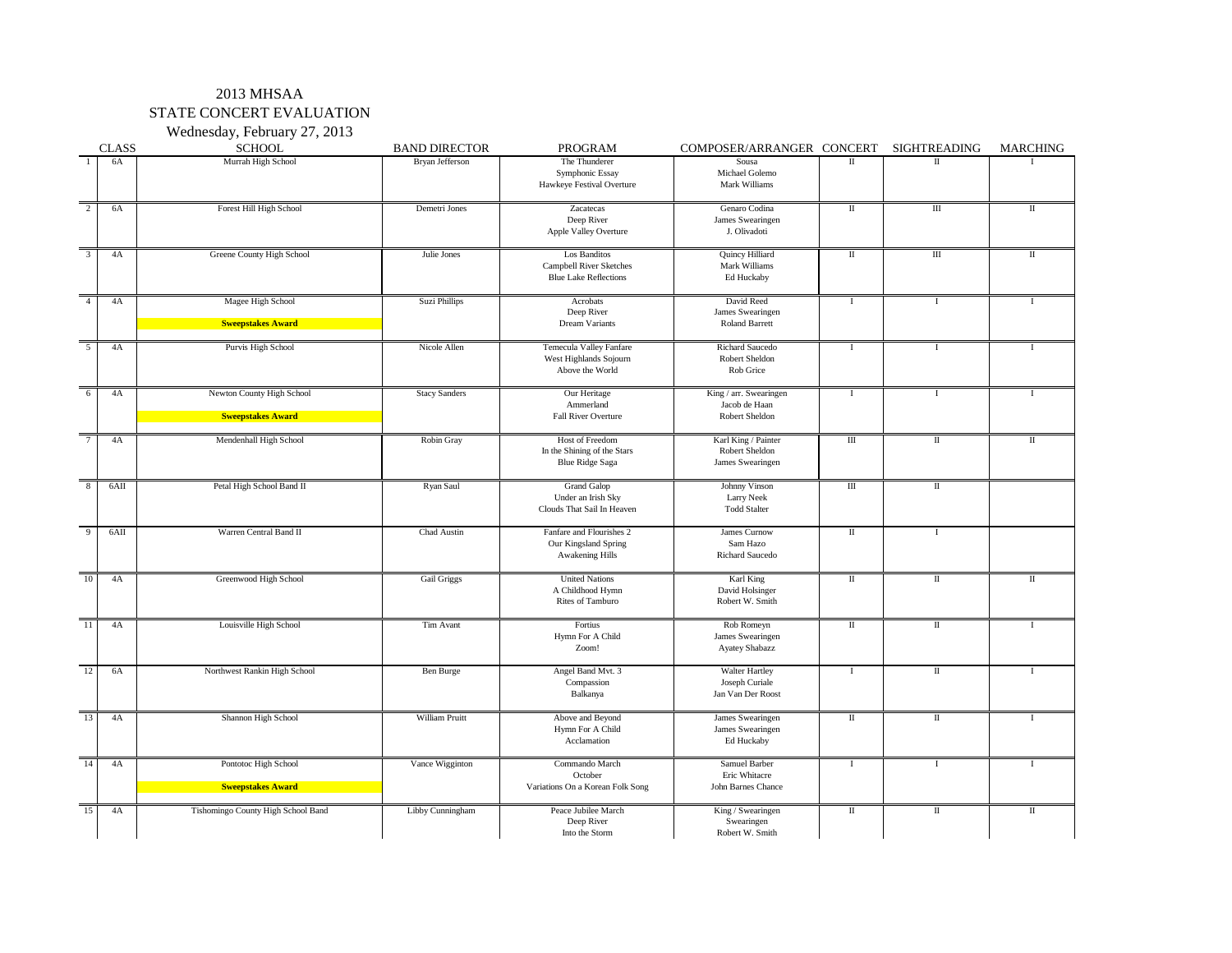#### 2013 MHSAA STATE CONCERT EVALUATION Wednesday, February 27, 2013

|                           | <b>CLASS</b> | $\mathbf{v}$ cancsuay, I colualy $\mathbf{z}$ , $\mathbf{z}$ or $\mathbf{v}$<br><b>SCHOOL</b> | <b>BAND DIRECTOR</b> | <b>PROGRAM</b>                                                                 | COMPOSER/ARRANGER CONCERT                                          |                                 | <b>SIGHTREADING</b>              | <b>MARCHING</b> |
|---------------------------|--------------|-----------------------------------------------------------------------------------------------|----------------------|--------------------------------------------------------------------------------|--------------------------------------------------------------------|---------------------------------|----------------------------------|-----------------|
|                           | 6A           | Murrah High School                                                                            | Bryan Jefferson      | The Thunderer                                                                  | Sousa                                                              | П                               | $\mathbf{I}$                     |                 |
|                           |              |                                                                                               |                      | Symphonic Essay<br>Hawkeye Festival Overture                                   | Michael Golemo<br>Mark Williams                                    |                                 |                                  |                 |
| 2                         | 6A           | Forest Hill High School                                                                       | Demetri Jones        | Zacatecas<br>Deep River<br><b>Apple Valley Overture</b>                        | Genaro Codina<br><b>James Swearingen</b><br>J. Olivadoti           | $\mathop{\mathrm{II}}\nolimits$ | $\mathop{\rm III}\nolimits$      |                 |
| $\overline{\overline{3}}$ | 4A           | Greene County High School                                                                     | Julie Jones          | Los Banditos<br><b>Campbell River Sketches</b><br><b>Blue Lake Reflections</b> | <b>Quincy Hilliard</b><br>Mark Williams<br>Ed Huckaby              | $\rm II$                        | $\mathop{\mathrm{III}}\nolimits$ |                 |
| $\boldsymbol{\Lambda}$    | 4A           | Magee High School                                                                             | Suzi Phillips        | Acrobats                                                                       | David Reed                                                         |                                 |                                  |                 |
|                           |              | <b>Sweepstakes Award</b>                                                                      |                      | Deep River<br><b>Dream Variants</b>                                            | James Swearingen<br><b>Roland Barrett</b>                          |                                 |                                  |                 |
|                           |              |                                                                                               |                      |                                                                                |                                                                    |                                 |                                  |                 |
| $\overline{5}$            | 4A           | Purvis High School                                                                            | Nicole Allen         | <b>Temecula Valley Fanfare</b><br>West Highlands Sojourn<br>Above the World    | Richard Saucedo<br>Robert Sheldon<br>Rob Grice                     |                                 |                                  |                 |
| 6                         | 4A           | Newton County High School                                                                     | <b>Stacy Sanders</b> | Our Heritage                                                                   | King / arr. Swearingen                                             |                                 |                                  |                 |
|                           |              | <b>Sweepstakes Award</b>                                                                      |                      | Ammerland<br><b>Fall River Overture</b>                                        | Jacob de Haan<br>Robert Sheldon                                    |                                 |                                  |                 |
|                           |              |                                                                                               |                      |                                                                                |                                                                    |                                 |                                  |                 |
|                           | 4A           | Mendenhall High School                                                                        | Robin Gray           | Host of Freedom<br>In the Shining of the Stars<br><b>Blue Ridge Saga</b>       | Karl King / Painter<br>Robert Sheldon<br>James Swearingen          | $\mathop{\rm III}$              | $\rm II$                         | $\mathbf{I}$    |
| 8                         | 6AII         | Petal High School Band II                                                                     | Ryan Saul            | <b>Grand Galop</b><br>Under an Irish Sky<br>Clouds That Sail In Heaven         | Johnny Vinson<br><b>Larry Neek</b><br><b>Todd Stalter</b>          | III                             | $\mathbf{I}$                     |                 |
| -9                        | 6AII         | Warren Central Band II                                                                        | Chad Austin          | Fanfare and Flourishes 2<br>Our Kingsland Spring<br><b>Awakening Hills</b>     | <b>James Curnow</b><br>Sam Hazo<br><b>Richard Saucedo</b>          | $\mathop{\mathrm{II}}$          |                                  |                 |
| 10                        | 4A           | Greenwood High School                                                                         | <b>Gail Griggs</b>   | <b>United Nations</b><br>A Childhood Hymn<br><b>Rites of Tamburo</b>           | Karl King<br>David Holsinger<br>Robert W. Smith                    | П                               | $\mathbf{I}$                     |                 |
| $\overline{11}$           | 4A           | Louisville High School                                                                        | Tim Avant            | Fortius<br>Hymn For A Child<br>Zoom!                                           | Rob Romeyn<br><b>James Swearingen</b><br><b>Ayatey Shabazz</b>     | $\rm II$                        | $\mathbf{I}$                     |                 |
| 12                        | 6A           | Northwest Rankin High School                                                                  | Ben Burge            | Angel Band Mvt. 3<br>Compassion<br>Balkanya                                    | <b>Walter Hartley</b><br>Joseph Curiale<br>Jan Van Der Roost       |                                 | $\mathop{\mathrm{II}}\nolimits$  |                 |
| 13                        | 4A           | Shannon High School                                                                           | William Pruitt       | Above and Beyond<br>Hymn For A Child<br>Acclamation                            | James Swearingen<br>James Swearingen<br>Ed Huckaby                 | $\mathop{\rm II}\nolimits$      | $\mathbf{I}$                     |                 |
| 14                        | 4A           | Pontotoc High School<br><b>Sweepstakes Award</b>                                              | Vance Wigginton      | Commando March<br>October<br>Variations On a Korean Folk Song                  | <b>Samuel Barber</b><br>Eric Whitacre<br><b>John Barnes Chance</b> |                                 |                                  |                 |
| 15                        | 4A           | Tishomingo County High School Band                                                            | Libby Cunningham     | Peace Jubilee March<br>Deep River<br>Into the Storm                            | King / Swearingen<br>Swearingen<br>Robert W. Smith                 | $\mathbf I$                     | $\mathop{\mathrm{II}}$           | $\;$ II         |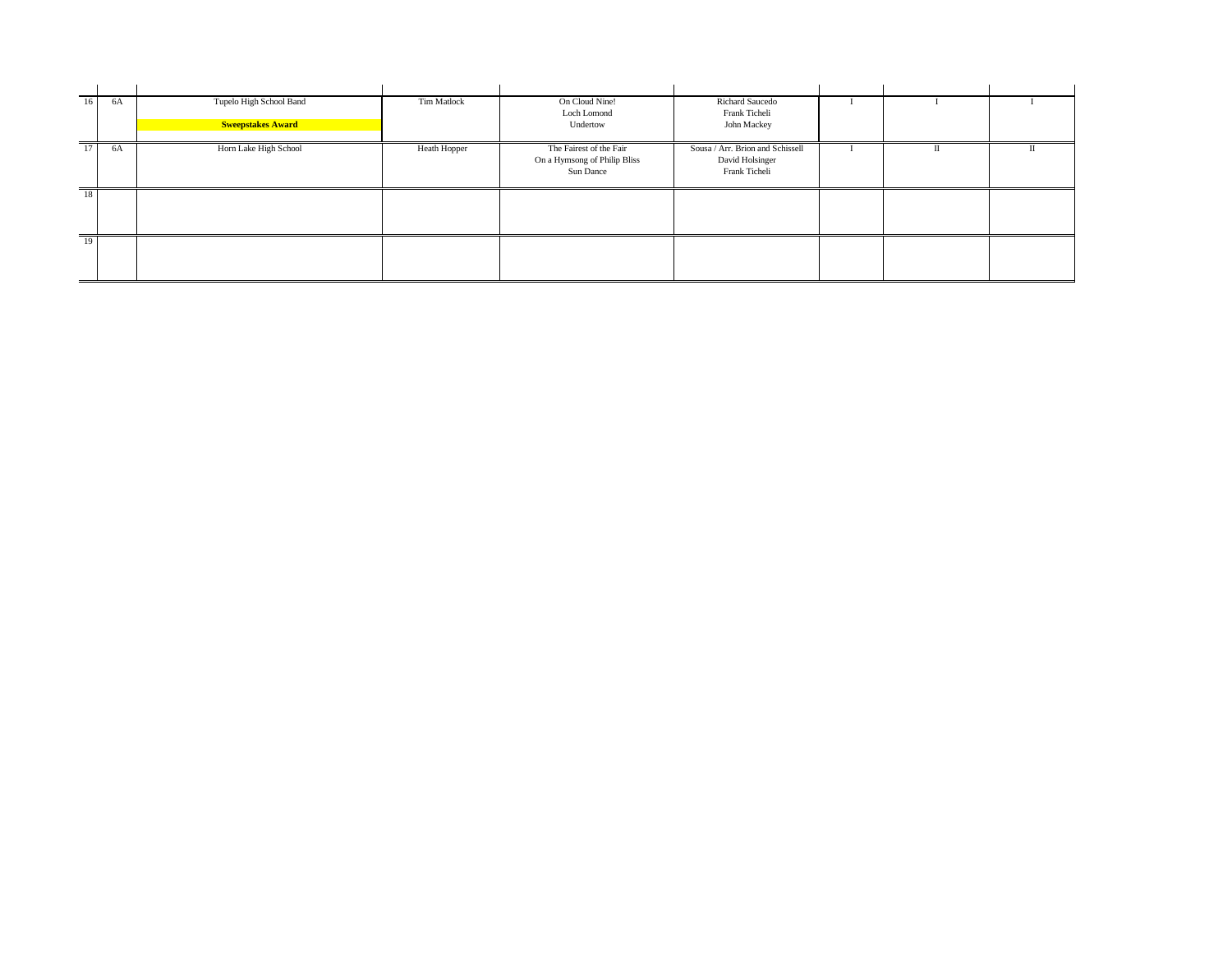| $16 \mid$ | 6A | Tupelo High School Band  | Tim Matlock  | On Cloud Nine!               | <b>Richard Saucedo</b>           |     |  |
|-----------|----|--------------------------|--------------|------------------------------|----------------------------------|-----|--|
|           |    |                          |              | Loch Lomond                  | Frank Ticheli                    |     |  |
|           |    | <b>Sweepstakes Award</b> |              | Undertow                     | John Mackey                      |     |  |
|           |    |                          |              |                              |                                  |     |  |
| $17 \mid$ | 6A | Horn Lake High School    | Heath Hopper | The Fairest of the Fair      | Sousa / Arr. Brion and Schissell | -11 |  |
|           |    |                          |              | On a Hymsong of Philip Bliss | David Holsinger                  |     |  |
|           |    |                          |              | Sun Dance                    | Frank Ticheli                    |     |  |
|           |    |                          |              |                              |                                  |     |  |
| 18        |    |                          |              |                              |                                  |     |  |
|           |    |                          |              |                              |                                  |     |  |
|           |    |                          |              |                              |                                  |     |  |
|           |    |                          |              |                              |                                  |     |  |
| 19        |    |                          |              |                              |                                  |     |  |
|           |    |                          |              |                              |                                  |     |  |
|           |    |                          |              |                              |                                  |     |  |
|           |    |                          |              |                              |                                  |     |  |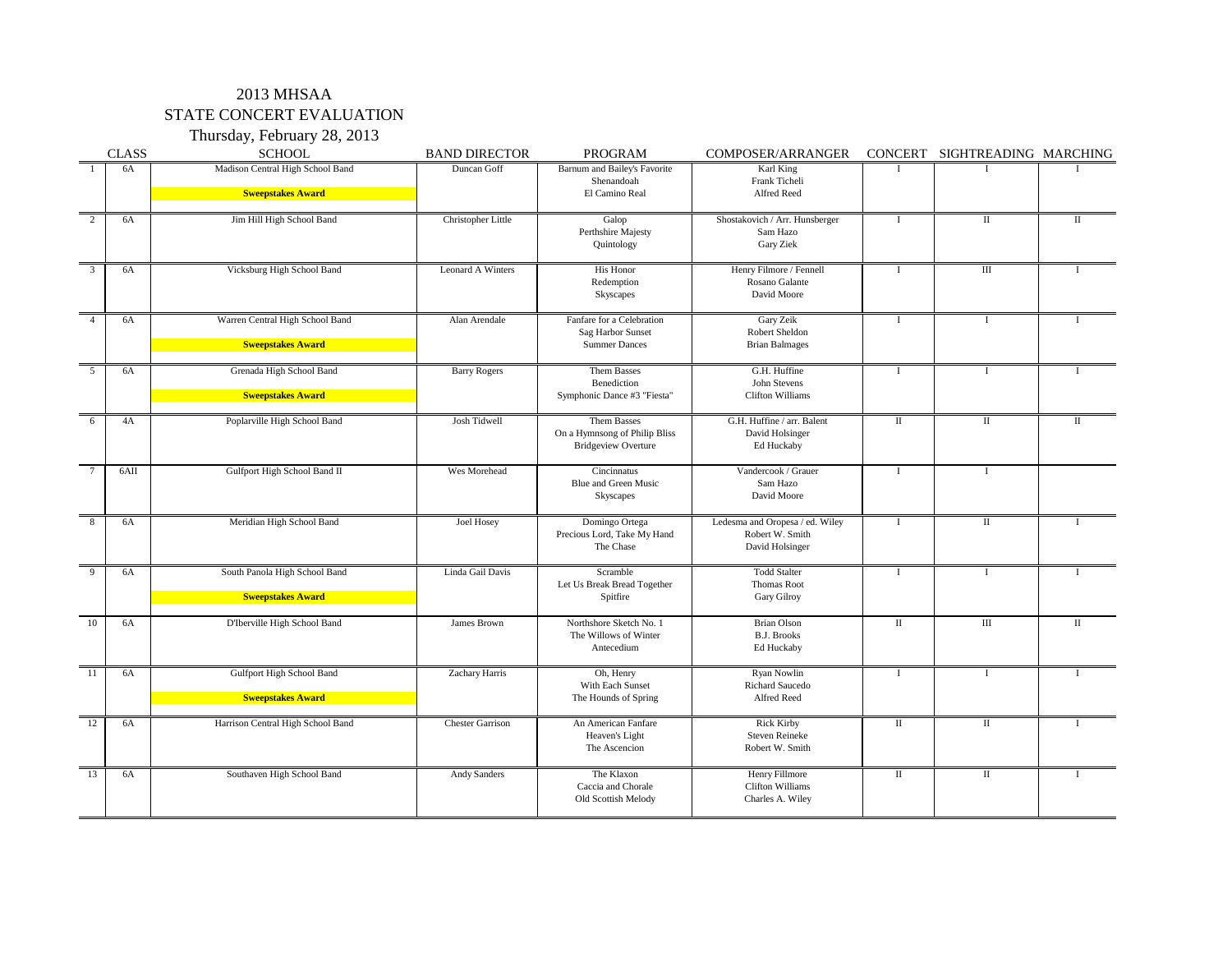## 2013 MHSAA STATE CONCERT EVALUATION

Thursday, February 28, 2013

|               | <b>CLASS</b> | <b>SCHOOL</b>                                                | <b>BAND DIRECTOR</b>    | <b>PROGRAM</b>                                                                | <b>COMPOSER/ARRANGER</b>                                              |                                 | CONCERT SIGHTREADING MARCHING |              |
|---------------|--------------|--------------------------------------------------------------|-------------------------|-------------------------------------------------------------------------------|-----------------------------------------------------------------------|---------------------------------|-------------------------------|--------------|
|               | 6A           | Madison Central High School Band<br><b>Sweepstakes Award</b> | Duncan Goff             | Barnum and Bailey's Favorite<br>Shenandoah<br>El Camino Real                  | Karl King<br>Frank Ticheli<br>Alfred Reed                             |                                 |                               |              |
| 2             | 6A           | Jim Hill High School Band                                    | Christopher Little      | Galop<br>Perthshire Majesty<br>Quintology                                     | Shostakovich / Arr. Hunsberger<br>Sam Hazo<br>Gary Ziek               |                                 | $\rm II$                      | $\mathbf{I}$ |
| $\mathcal{E}$ | 6A           | Vicksburg High School Band                                   | Leonard A Winters       | His Honor<br>Redemption<br>Skyscapes                                          | Henry Filmore / Fennell<br>Rosano Galante<br>David Moore              |                                 | III                           |              |
|               | 6A           | Warren Central High School Band<br><b>Sweepstakes Award</b>  | Alan Arendale           | Fanfare for a Celebration<br><b>Sag Harbor Sunset</b><br><b>Summer Dances</b> | Gary Zeik<br>Robert Sheldon<br><b>Brian Balmages</b>                  |                                 |                               |              |
| 5             | 6A           | Grenada High School Band<br><b>Sweepstakes Award</b>         | <b>Barry Rogers</b>     | Them Basses<br>Benediction<br>Symphonic Dance #3 "Fiesta"                     | G.H. Huffine<br>John Stevens<br><b>Clifton Williams</b>               |                                 |                               |              |
|               | 4A           | Poplarville High School Band                                 | Josh Tidwell            | Them Basses<br>On a Hymnsong of Philip Bliss<br><b>Bridgeview Overture</b>    | G.H. Huffine / arr. Balent<br>David Holsinger<br>Ed Huckaby           | $\mathbf{I}$                    | $\mathbf{I}$                  | $\mathbf{I}$ |
|               | 6AII         | Gulfport High School Band II                                 | Wes Morehead            | Cincinnatus<br><b>Blue and Green Music</b><br><b>Skyscapes</b>                | Vandercook / Grauer<br>Sam Hazo<br>David Moore                        |                                 |                               |              |
| 8             | 6A           | Meridian High School Band                                    | <b>Joel Hosey</b>       | Domingo Ortega<br>Precious Lord, Take My Hand<br>The Chase                    | Ledesma and Oropesa / ed. Wiley<br>Robert W. Smith<br>David Holsinger |                                 | $\rm II$                      |              |
| 9             | 6A           | South Panola High School Band<br><b>Sweepstakes Award</b>    | Linda Gail Davis        | Scramble<br>Let Us Break Bread Together<br>Spitfire                           | <b>Todd Stalter</b><br><b>Thomas Root</b><br><b>Gary Gilroy</b>       |                                 |                               |              |
| 10            | 6A           | D'Iberville High School Band                                 | James Brown             | Northshore Sketch No. 1<br>The Willows of Winter<br>Antecedium                | <b>Brian Olson</b><br><b>B.J. Brooks</b><br>Ed Huckaby                | $\mathbf{I}$                    | III                           | $\rm{II}$    |
| <sup>11</sup> | 6A           | Gulfport High School Band<br><b>Sweepstakes Award</b>        | Zachary Harris          | Oh, Henry<br>With Each Sunset<br>The Hounds of Spring                         | Ryan Nowlin<br><b>Richard Saucedo</b><br>Alfred Reed                  |                                 |                               |              |
| 12            | 6A           | Harrison Central High School Band                            | <b>Chester Garrison</b> | An American Fanfare<br>Heaven's Light<br>The Ascencion                        | <b>Rick Kirby</b><br><b>Steven Reineke</b><br>Robert W. Smith         | $\mathop{\mathrm{II}}\nolimits$ | $\mathbf{I}$                  |              |
| 13            | 6A           | Southaven High School Band                                   | <b>Andy Sanders</b>     | The Klaxon<br>Caccia and Chorale<br>Old Scottish Melody                       | Henry Fillmore<br><b>Clifton Williams</b><br>Charles A. Wiley         | $\mathbf{I}$                    | $\mathop{\mathrm{II}}$        |              |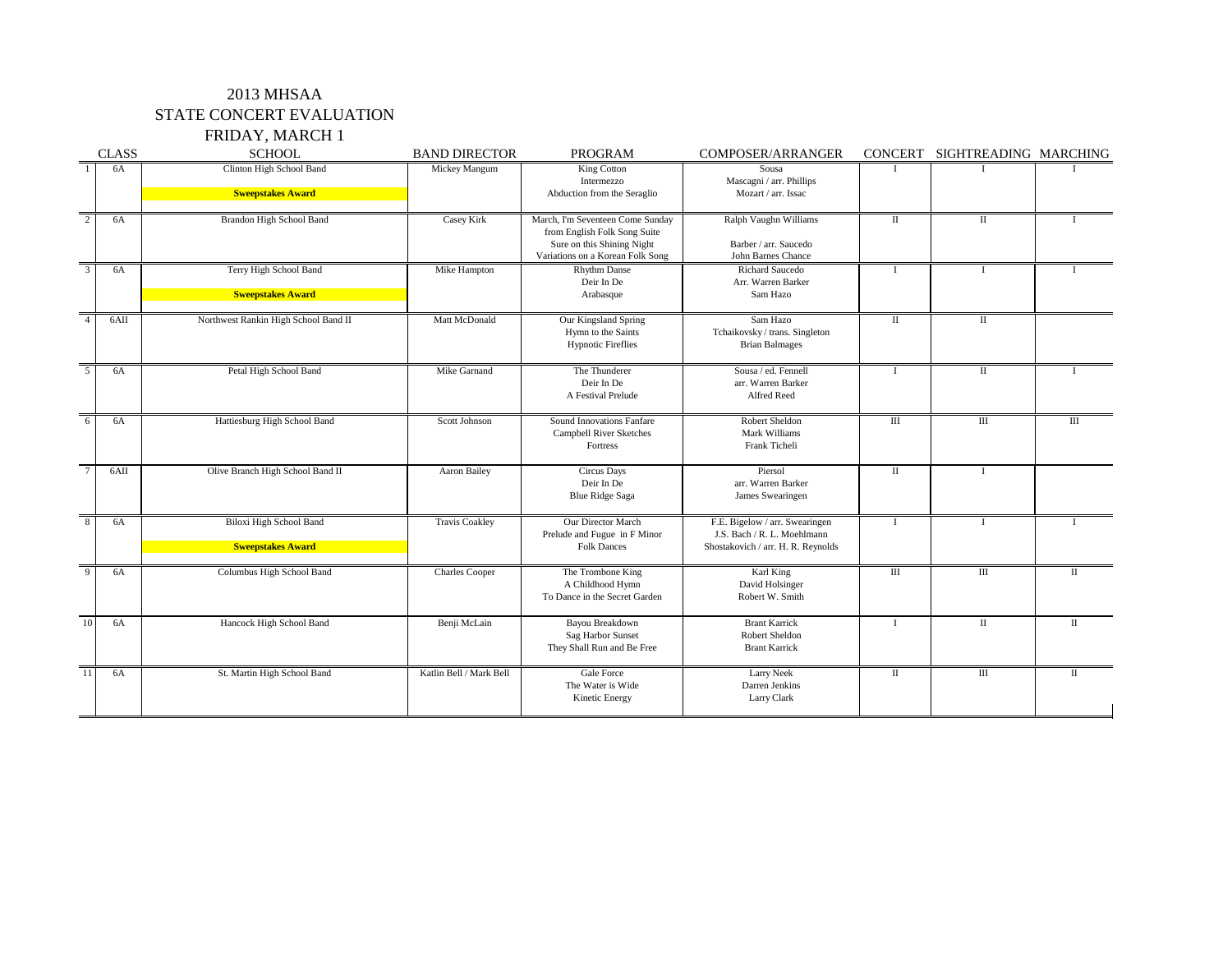### 2013 MHSAA STATE CONCERT EVALUATION FRIDAY, MARCH 1

|                           | <b>CLASS</b> | <b>SCHOOL</b>                                              | <b>BAND DIRECTOR</b>    | <b>PROGRAM</b>                                                                                                                     | <b>COMPOSER/ARRANGER</b>                                                                            |                    | CONCERT SIGHTREADING MARCHING |                    |
|---------------------------|--------------|------------------------------------------------------------|-------------------------|------------------------------------------------------------------------------------------------------------------------------------|-----------------------------------------------------------------------------------------------------|--------------------|-------------------------------|--------------------|
|                           | 6A           | Clinton High School Band<br><b>Sweepstakes Award</b>       | Mickey Mangum           | King Cotton<br>Intermezzo<br>Abduction from the Seraglio                                                                           | Sousa<br>Mascagni / arr. Phillips<br>Mozart / arr. Issac                                            |                    |                               |                    |
| $\overline{2}$            | 6A           | <b>Brandon High School Band</b>                            | Casey Kirk              | March, I'm Seventeen Come Sunday<br>from English Folk Song Suite<br>Sure on this Shining Night<br>Variations on a Korean Folk Song | Ralph Vaughn Williams<br>Barber / arr. Saucedo<br><b>John Barnes Chance</b>                         |                    | $\mathbf{I}$                  |                    |
| $\overline{3}$            | 6A           | Terry High School Band<br><b>Sweepstakes Award</b>         | Mike Hampton            | <b>Rhythm Danse</b><br>Deir In De<br>Arabasque                                                                                     | <b>Richard Saucedo</b><br>Arr. Warren Barker<br>Sam Hazo                                            |                    |                               |                    |
| $\overline{\mathcal{A}}$  | 6AII         | Northwest Rankin High School Band II                       | Matt McDonald           | Our Kingsland Spring<br>Hymn to the Saints<br><b>Hypnotic Fireflies</b>                                                            | Sam Hazo<br>Tchaikovsky / trans. Singleton<br><b>Brian Balmages</b>                                 |                    | $\mathbf{I}$                  |                    |
| $5\overline{)}$           | 6A           | Petal High School Band                                     | Mike Garnand            | The Thunderer<br>Deir In De<br>A Festival Prelude                                                                                  | Sousa / ed. Fennell<br>arr. Warren Barker<br>Alfred Reed                                            |                    | $\rm II$                      |                    |
| 6                         | 6A           | Hattiesburg High School Band                               | Scott Johnson           | <b>Sound Innovations Fanfare</b><br><b>Campbell River Sketches</b><br>Fortress                                                     | Robert Sheldon<br>Mark Williams<br>Frank Ticheli                                                    | $\mathop{\rm III}$ | $\mathbf{III}$                | $\mathop{\rm III}$ |
| $\overline{\overline{7}}$ | 6AII         | Olive Branch High School Band II                           | <b>Aaron Bailey</b>     | <b>Circus Days</b><br>Deir In De<br><b>Blue Ridge Saga</b>                                                                         | Piersol<br>arr. Warren Barker<br>James Swearingen                                                   |                    |                               |                    |
| 8                         | 6A           | <b>Biloxi High School Band</b><br><b>Sweepstakes Award</b> | <b>Travis Coakley</b>   | Our Director March<br>Prelude and Fugue in F Minor<br><b>Folk Dances</b>                                                           | F.E. Bigelow / arr. Swearingen<br>J.S. Bach / R. L. Moehlmann<br>Shostakovich / arr. H. R. Reynolds |                    |                               |                    |
| 9                         | 6A           | Columbus High School Band                                  | <b>Charles Cooper</b>   | The Trombone King<br>A Childhood Hymn<br>To Dance in the Secret Garden                                                             | Karl King<br>David Holsinger<br>Robert W. Smith                                                     | III                | $\rm III$                     |                    |
| $\overline{10}$           | 6A           | Hancock High School Band                                   | Benji McLain            | Bayou Breakdown<br><b>Sag Harbor Sunset</b><br>They Shall Run and Be Free                                                          | <b>Brant Karrick</b><br><b>Robert Sheldon</b><br><b>Brant Karrick</b>                               |                    | $\rm II$                      |                    |
| 11                        | 6A           | St. Martin High School Band                                | Katlin Bell / Mark Bell | <b>Gale Force</b><br>The Water is Wide<br>Kinetic Energy                                                                           | <b>Larry Neek</b><br>Darren Jenkins<br>Larry Clark                                                  |                    | $\rm III$                     |                    |